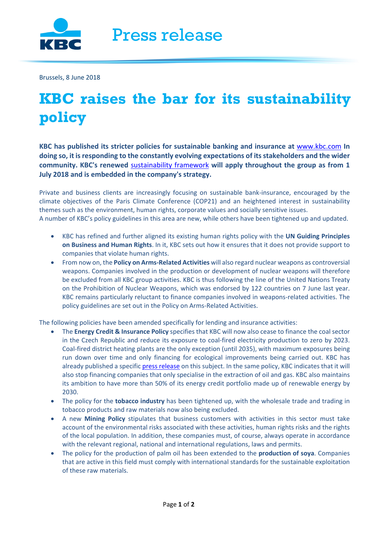

Brussels, 8 June 2018

## **KBC raises the bar for its sustainability policy**

**KBC has published its stricter policies for sustainable banking and insurance at** [www.kbc.com](http://www.kbc.com/) **In doing so, it is responding to the constantly evolving expectations of its stakeholders and the wider community. KBC's renewed** [sustainability framework](https://www.kbc.com/en/system/files/doc/sustainability-reponsability/FrameworkPolicies/CSD_CorporateSustainabilityFramework.pdf) **will apply throughout the group as from 1 July 2018 and is embedded in the company's strategy.** 

Private and business clients are increasingly focusing on sustainable bank-insurance, encouraged by the climate objectives of the Paris Climate Conference (COP21) and an heightened interest in sustainability themes such as the environment, human rights, corporate values and socially sensitive issues. A number of KBC's policy guidelines in this area are new, while others have been tightened up and updated.

- KBC has refined and further aligned its existing human rights policy with the **UN Guiding Principles on Business and Human Rights**. In it, KBC sets out how it ensures that it does not provide support to companies that violate human rights.
- From now on, the **Policy on Arms-Related Activities** will also regard nuclear weapons as controversial weapons. Companies involved in the production or development of nuclear weapons will therefore be excluded from all KBC group activities. KBC is thus following the line of the United Nations Treaty on the Prohibition of Nuclear Weapons, which was endorsed by 122 countries on 7 June last year. KBC remains particularly reluctant to finance companies involved in weapons-related activities. The policy guidelines are set out in the Policy on Arms-Related Activities.

The following policies have been amended specifically for lending and insurance activities:

- The **Energy Credit & Insurance Policy** specifies that KBC will now also cease to finance the coal sector in the Czech Republic and reduce its exposure to coal-fired electricity production to zero by 2023. Coal-fired district heating plants are the only exception (until 2035), with maximum exposures being run down over time and only financing for ecological improvements being carried out. KBC has already published a specific [press release](https://www.kbc.com/system/files/doc/newsroom/pressreleases/2018/20180503_PB_fossilfuelCZ_ENG.pdf) on this subject. In the same policy, KBC indicates that it will also stop financing companies that only specialise in the extraction of oil and gas. KBC also maintains its ambition to have more than 50% of its energy credit portfolio made up of renewable energy by 2030.
- The policy for the **tobacco industry** has been tightened up, with the wholesale trade and trading in tobacco products and raw materials now also being excluded.
- A new **Mining Policy** stipulates that business customers with activities in this sector must take account of the environmental risks associated with these activities, human rights risks and the rights of the local population. In addition, these companies must, of course, always operate in accordance with the relevant regional, national and international regulations, laws and permits.
- The policy for the production of palm oil has been extended to the **production of soya**. Companies that are active in this field must comply with international standards for the sustainable exploitation of these raw materials.